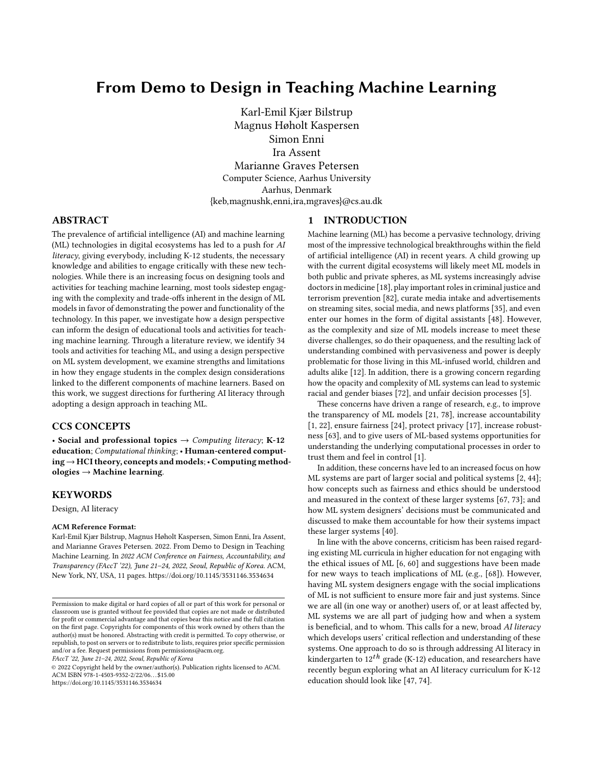# From Demo to Design in Teaching Machine Learning

Karl-Emil Kjær Bilstrup Magnus Høholt Kaspersen Simon Enni Ira Assent Marianne Graves Petersen Computer Science, Aarhus University Aarhus, Denmark {keb,magnushk,enni,ira,mgraves}@cs.au.dk

## ABSTRACT

The prevalence of artificial intelligence (AI) and machine learning (ML) technologies in digital ecosystems has led to a push for AI literacy, giving everybody, including K-12 students, the necessary knowledge and abilities to engage critically with these new technologies. While there is an increasing focus on designing tools and activities for teaching machine learning, most tools sidestep engaging with the complexity and trade-offs inherent in the design of ML models in favor of demonstrating the power and functionality of the technology. In this paper, we investigate how a design perspective can inform the design of educational tools and activities for teaching machine learning. Through a literature review, we identify 34 tools and activities for teaching ML, and using a design perspective on ML system development, we examine strengths and limitations in how they engage students in the complex design considerations linked to the different components of machine learners. Based on this work, we suggest directions for furthering AI literacy through adopting a design approach in teaching ML.

#### CCS CONCEPTS

• Social and professional topics  $\rightarrow$  Computing literacy; K-12 education; Computational thinking; • Human-centered computing→HCI theory, concepts and models;• Computing methodologies → Machine learning.

#### KEYWORDS

Design, AI literacy

#### ACM Reference Format:

Karl-Emil Kjær Bilstrup, Magnus Høholt Kaspersen, Simon Enni, Ira Assent, and Marianne Graves Petersen. 2022. From Demo to Design in Teaching Machine Learning. In 2022 ACM Conference on Fairness, Accountability, and Transparency (FAccT '22), June 21–24, 2022, Seoul, Republic of Korea. ACM, New York, NY, USA, [11](#page-10-0) pages.<https://doi.org/10.1145/3531146.3534634>

FAccT '22, June 21–24, 2022, Seoul, Republic of Korea

© 2022 Copyright held by the owner/author(s). Publication rights licensed to ACM. ACM ISBN 978-1-4503-9352-2/22/06. . . \$15.00 <https://doi.org/10.1145/3531146.3534634>

#### <span id="page-0-0"></span>1 INTRODUCTION

Machine learning (ML) has become a pervasive technology, driving most of the impressive technological breakthroughs within the field of artificial intelligence (AI) in recent years. A child growing up with the current digital ecosystems will likely meet ML models in both public and private spheres, as ML systems increasingly advise doctors in medicine [\[18\]](#page-8-0), play important roles in criminal justice and terrorism prevention [\[82\]](#page-9-0), curate media intake and advertisements on streaming sites, social media, and news platforms [\[35\]](#page-8-1), and even enter our homes in the form of digital assistants [\[48\]](#page-9-1). However, as the complexity and size of ML models increase to meet these diverse challenges, so do their opaqueness, and the resulting lack of understanding combined with pervasiveness and power is deeply problematic for those living in this ML-infused world, children and adults alike [\[12\]](#page-8-2). In addition, there is a growing concern regarding how the opacity and complexity of ML systems can lead to systemic racial and gender biases [\[72\]](#page-9-2), and unfair decision processes [\[5\]](#page-8-3).

These concerns have driven a range of research, e.g., to improve the transparency of ML models [\[21,](#page-8-4) [78\]](#page-9-3), increase accountability [\[1,](#page-7-0) [22\]](#page-8-5), ensure fairness [\[24\]](#page-8-6), protect privacy [\[17\]](#page-8-7), increase robustness [\[63\]](#page-9-4), and to give users of ML-based systems opportunities for understanding the underlying computational processes in order to trust them and feel in control [\[1\]](#page-7-0).

In addition, these concerns have led to an increased focus on how ML systems are part of larger social and political systems [\[2,](#page-8-8) [44\]](#page-9-5); how concepts such as fairness and ethics should be understood and measured in the context of these larger systems [\[67,](#page-9-6) [73\]](#page-9-7); and how ML system designers' decisions must be communicated and discussed to make them accountable for how their systems impact these larger systems [\[40\]](#page-8-9).

In line with the above concerns, criticism has been raised regarding existing ML curricula in higher education for not engaging with the ethical issues of ML [\[6,](#page-8-10) [60\]](#page-9-8) and suggestions have been made for new ways to teach implications of ML (e.g., [\[68\]](#page-9-9)). However, having ML system designers engage with the social implications of ML is not sufficient to ensure more fair and just systems. Since we are all (in one way or another) users of, or at least affected by, ML systems we are all part of judging how and when a system is beneficial, and to whom. This calls for a new, broad AI literacy which develops users' critical reflection and understanding of these systems. One approach to do so is through addressing AI literacy in kindergarten to  $12^{th}$  grade (K-12) education, and researchers have recently begun exploring what an AI literacy curriculum for K-12 education should look like [\[47,](#page-9-10) [74\]](#page-9-11).

Permission to make digital or hard copies of all or part of this work for personal or classroom use is granted without fee provided that copies are not made or distributed for profit or commercial advantage and that copies bear this notice and the full citation on the first page. Copyrights for components of this work owned by others than the author(s) must be honored. Abstracting with credit is permitted. To copy otherwise, or republish, to post on servers or to redistribute to lists, requires prior specific permission and/or a fee. Request permissions from permissions@acm.org.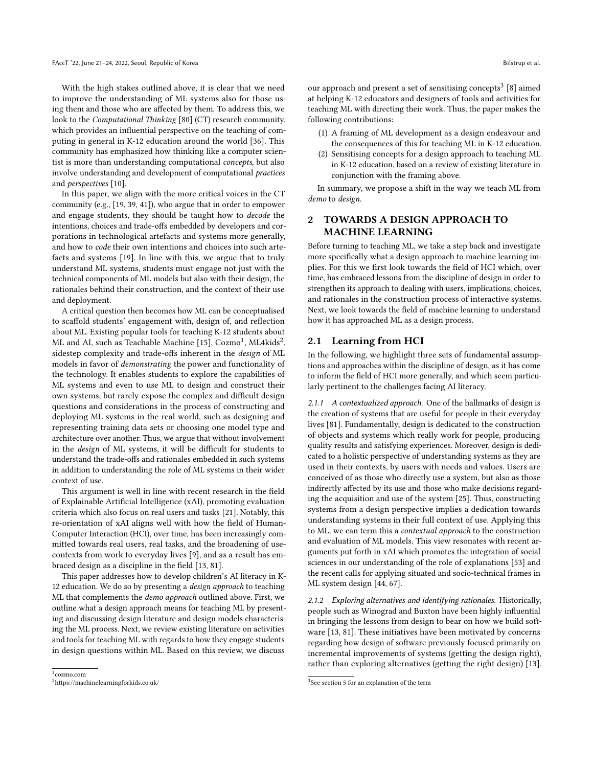With the high stakes outlined above, it is clear that we need to improve the understanding of ML systems also for those using them and those who are affected by them. To address this, we look to the Computational Thinking [\[80\]](#page-9-12) (CT) research community, which provides an influential perspective on the teaching of computing in general in K-12 education around the world [\[36\]](#page-8-11). This community has emphasized how thinking like a computer scientist is more than understanding computational concepts, but also involve understanding and development of computational practices and perspectives [\[10\]](#page-8-12).

In this paper, we align with the more critical voices in the CT community (e.g., [\[19,](#page-8-13) [39,](#page-8-14) [41\]](#page-8-15)), who argue that in order to empower and engage students, they should be taught how to decode the intentions, choices and trade-offs embedded by developers and corporations in technological artefacts and systems more generally, and how to code their own intentions and choices into such artefacts and systems [\[19\]](#page-8-13). In line with this, we argue that to truly understand ML systems, students must engage not just with the technical components of ML models but also with their design, the rationales behind their construction, and the context of their use and deployment.

A critical question then becomes how ML can be conceptualised to scaffold students' engagement with, design of, and reflection about ML. Existing popular tools for teaching K-12 students about ML and AI, such as Teachable Machine [\[15\]](#page-8-16),  $\rm Cozmo^1$  $\rm Cozmo^1$ , ML4kids $^2$  $^2$ , sidestep complexity and trade-offs inherent in the design of ML models in favor of demonstrating the power and functionality of the technology. It enables students to explore the capabilities of ML systems and even to use ML to design and construct their own systems, but rarely expose the complex and difficult design questions and considerations in the process of constructing and deploying ML systems in the real world, such as designing and representing training data sets or choosing one model type and architecture over another. Thus, we argue that without involvement in the design of ML systems, it will be difficult for students to understand the trade-offs and rationales embedded in such systems in addition to understanding the role of ML systems in their wider context of use.

This argument is well in line with recent research in the field of Explainable Artificial Intelligence (xAI), promoting evaluation criteria which also focus on real users and tasks [\[21\]](#page-8-4). Notably, this re-orientation of xAI aligns well with how the field of Human-Computer Interaction (HCI), over time, has been increasingly committed towards real users, real tasks, and the broadening of usecontexts from work to everyday lives [\[9\]](#page-8-17), and as a result has embraced design as a discipline in the field [\[13,](#page-8-18) [81\]](#page-9-13).

This paper addresses how to develop children's AI literacy in K-12 education. We do so by presenting a *design approach* to teaching ML that complements the demo approach outlined above. First, we outline what a design approach means for teaching ML by presenting and discussing design literature and design models characterising the ML process. Next, we review existing literature on activities and tools for teaching ML with regards to how they engage students in design questions within ML. Based on this review, we discuss

our approach and present a set of sensitising concepts<sup>[3](#page-1-2)</sup> [\[8\]](#page-8-19) aimed at helping K-12 educators and designers of tools and activities for teaching ML with directing their work. Thus, the paper makes the following contributions:

- (1) A framing of ML development as a design endeavour and the consequences of this for teaching ML in K-12 education.
- (2) Sensitising concepts for a design approach to teaching ML in K-12 education, based on a review of existing literature in conjunction with the framing above.

In summary, we propose a shift in the way we teach ML from demo to design.

## <span id="page-1-3"></span>2 TOWARDS A DESIGN APPROACH TO MACHINE LEARNING

Before turning to teaching ML, we take a step back and investigate more specifically what a design approach to machine learning implies. For this we first look towards the field of HCI which, over time, has embraced lessons from the discipline of design in order to strengthen its approach to dealing with users, implications, choices, and rationales in the construction process of interactive systems. Next, we look towards the field of machine learning to understand how it has approached ML as a design process.

#### 2.1 Learning from HCI

In the following, we highlight three sets of fundamental assumptions and approaches within the discipline of design, as it has come to inform the field of HCI more generally, and which seem particularly pertinent to the challenges facing AI literacy.

2.1.1 A contextualized approach. One of the hallmarks of design is the creation of systems that are useful for people in their everyday lives [\[81\]](#page-9-13). Fundamentally, design is dedicated to the construction of objects and systems which really work for people, producing quality results and satisfying experiences. Moreover, design is dedicated to a holistic perspective of understanding systems as they are used in their contexts, by users with needs and values. Users are conceived of as those who directly use a system, but also as those indirectly affected by its use and those who make decisions regarding the acquisition and use of the system [\[25\]](#page-8-20). Thus, constructing systems from a design perspective implies a dedication towards understanding systems in their full context of use. Applying this to ML, we can term this a contextual approach to the construction and evaluation of ML models. This view resonates with recent arguments put forth in xAI which promotes the integration of social sciences in our understanding of the role of explanations [\[53\]](#page-9-14) and the recent calls for applying situated and socio-technical frames in ML system design [\[44,](#page-9-5) [67\]](#page-9-6).

2.1.2 Exploring alternatives and identifying rationales. Historically, people such as Winograd and Buxton have been highly influential in bringing the lessons from design to bear on how we build software [\[13,](#page-8-18) [81\]](#page-9-13). These initiatives have been motivated by concerns regarding how design of software previously focused primarily on incremental improvements of systems (getting the design right), rather than exploring alternatives (getting the right design) [\[13\]](#page-8-18).

<span id="page-1-0"></span><sup>1</sup> cozmo.com

<span id="page-1-1"></span><sup>2</sup>https://machinelearningforkids.co.uk/

<span id="page-1-2"></span><sup>&</sup>lt;sup>3</sup>See section 5 for an explanation of the term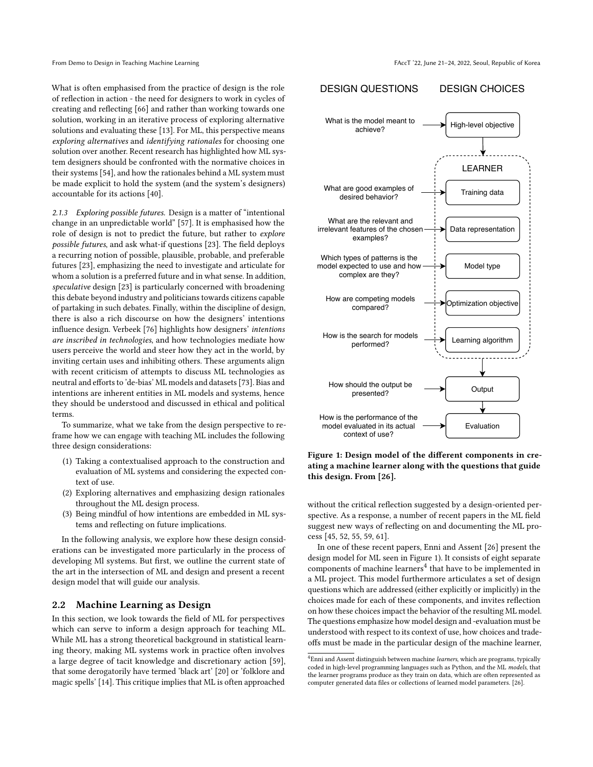What is often emphasised from the practice of design is the role of reflection in action - the need for designers to work in cycles of creating and reflecting [\[66\]](#page-9-15) and rather than working towards one solution, working in an iterative process of exploring alternative solutions and evaluating these [\[13\]](#page-8-18). For ML, this perspective means exploring alternatives and identifying rationales for choosing one solution over another. Recent research has highlighted how ML system designers should be confronted with the normative choices in their systems [\[54\]](#page-9-16), and how the rationales behind a ML system must be made explicit to hold the system (and the system's designers) accountable for its actions [\[40\]](#page-8-9).

2.1.3 Exploring possible futures. Design is a matter of "intentional change in an unpredictable world" [\[57\]](#page-9-17). It is emphasised how the role of design is not to predict the future, but rather to explore possible futures, and ask what-if questions [\[23\]](#page-8-21). The field deploys a recurring notion of possible, plausible, probable, and preferable futures [\[23\]](#page-8-21), emphasizing the need to investigate and articulate for whom a solution is a preferred future and in what sense. In addition, speculative design [\[23\]](#page-8-21) is particularly concerned with broadening this debate beyond industry and politicians towards citizens capable of partaking in such debates. Finally, within the discipline of design, there is also a rich discourse on how the designers' intentions influence design. Verbeek [\[76\]](#page-9-18) highlights how designers' intentions are inscribed in technologies, and how technologies mediate how users perceive the world and steer how they act in the world, by inviting certain uses and inhibiting others. These arguments align with recent criticism of attempts to discuss ML technologies as neutral and efforts to 'de-bias' ML models and datasets [\[73\]](#page-9-7). Bias and intentions are inherent entities in ML models and systems, hence they should be understood and discussed in ethical and political terms.

To summarize, what we take from the design perspective to reframe how we can engage with teaching ML includes the following three design considerations:

- (1) Taking a contextualised approach to the construction and evaluation of ML systems and considering the expected context of use.
- (2) Exploring alternatives and emphasizing design rationales throughout the ML design process.
- (3) Being mindful of how intentions are embedded in ML systems and reflecting on future implications.

In the following analysis, we explore how these design considerations can be investigated more particularly in the process of developing Ml systems. But first, we outline the current state of the art in the intersection of ML and design and present a recent design model that will guide our analysis.

#### 2.2 Machine Learning as Design

In this section, we look towards the field of ML for perspectives which can serve to inform a design approach for teaching ML. While ML has a strong theoretical background in statistical learning theory, making ML systems work in practice often involves a large degree of tacit knowledge and discretionary action [\[59\]](#page-9-19), that some derogatorily have termed 'black art' [\[20\]](#page-8-22) or 'folklore and magic spells' [\[14\]](#page-8-23). This critique implies that ML is often approached

<span id="page-2-0"></span>

Figure 1: Design model of the different components in creating a machine learner along with the questions that guide this design. From [\[26\]](#page-8-24).

without the critical reflection suggested by a design-oriented perspective. As a response, a number of recent papers in the ML field suggest new ways of reflecting on and documenting the ML process [\[45,](#page-9-20) [52,](#page-9-21) [55,](#page-9-22) [59,](#page-9-19) [61\]](#page-9-23).

In one of these recent papers, Enni and Assent [\[26\]](#page-8-24) present the design model for ML seen in Figure [1\)](#page-2-0). It consists of eight separate components of machine learners<sup>[4](#page-2-1)</sup> that have to be implemented in a ML project. This model furthermore articulates a set of design questions which are addressed (either explicitly or implicitly) in the choices made for each of these components, and invites reflection on how these choices impact the behavior of the resulting ML model. The questions emphasize how model design and -evaluation must be understood with respect to its context of use, how choices and tradeoffs must be made in the particular design of the machine learner,

<span id="page-2-1"></span> $^4$ Enni and Assent distinguish between machine learners, which are programs, typically coded in high-level programming languages such as Python, and the ML models, that the learner programs produce as they train on data, which are often represented as computer generated data files or collections of learned model parameters. [\[26\]](#page-8-24).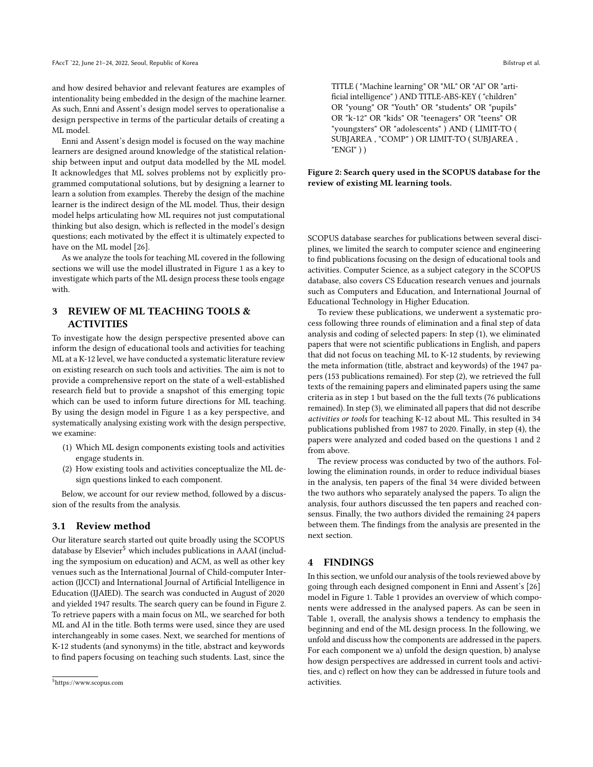and how desired behavior and relevant features are examples of intentionality being embedded in the design of the machine learner. As such, Enni and Assent's design model serves to operationalise a design perspective in terms of the particular details of creating a ML model.

Enni and Assent's design model is focused on the way machine learners are designed around knowledge of the statistical relationship between input and output data modelled by the ML model. It acknowledges that ML solves problems not by explicitly programmed computational solutions, but by designing a learner to learn a solution from examples. Thereby the design of the machine learner is the indirect design of the ML model. Thus, their design model helps articulating how ML requires not just computational thinking but also design, which is reflected in the model's design questions; each motivated by the effect it is ultimately expected to have on the ML model [\[26\]](#page-8-24).

As we analyze the tools for teaching ML covered in the following sections we will use the model illustrated in Figure [1](#page-2-0) as a key to investigate which parts of the ML design process these tools engage with.

# 3 REVIEW OF ML TEACHING TOOLS & ACTIVITIES

To investigate how the design perspective presented above can inform the design of educational tools and activities for teaching ML at a K-12 level, we have conducted a systematic literature review on existing research on such tools and activities. The aim is not to provide a comprehensive report on the state of a well-established research field but to provide a snapshot of this emerging topic which can be used to inform future directions for ML teaching. By using the design model in Figure [1](#page-2-0) as a key perspective, and systematically analysing existing work with the design perspective, we examine:

- (1) Which ML design components existing tools and activities engage students in.
- (2) How existing tools and activities conceptualize the ML design questions linked to each component.

Below, we account for our review method, followed by a discussion of the results from the analysis.

#### 3.1 Review method

Our literature search started out quite broadly using the SCOPUS database by Elsevier<sup>[5](#page-3-0)</sup> which includes publications in AAAI (including the symposium on education) and ACM, as well as other key venues such as the International Journal of Child-computer Interaction (IJCCI) and International Journal of Artificial Intelligence in Education (IJAIED). The search was conducted in August of 2020 and yielded 1947 results. The search query can be found in Figure [2.](#page-3-1) To retrieve papers with a main focus on ML, we searched for both ML and AI in the title. Both terms were used, since they are used interchangeably in some cases. Next, we searched for mentions of K-12 students (and synonyms) in the title, abstract and keywords to find papers focusing on teaching such students. Last, since the

<span id="page-3-1"></span>TITLE ( "Machine learning" OR "ML" OR "AI" OR "artificial intelligence" ) AND TITLE-ABS-KEY ( "children" OR "young" OR "Youth" OR "students" OR "pupils" OR "k-12" OR "kids" OR "teenagers" OR "teens" OR "youngsters" OR "adolescents" ) AND ( LIMIT-TO ( SUBJAREA , "COMP" ) OR LIMIT-TO ( SUBJAREA , "ENGI" ) )

Figure 2: Search query used in the SCOPUS database for the review of existing ML learning tools.

SCOPUS database searches for publications between several disciplines, we limited the search to computer science and engineering to find publications focusing on the design of educational tools and activities. Computer Science, as a subject category in the SCOPUS database, also covers CS Education research venues and journals such as Computers and Education, and International Journal of Educational Technology in Higher Education.

To review these publications, we underwent a systematic process following three rounds of elimination and a final step of data analysis and coding of selected papers: In step (1), we eliminated papers that were not scientific publications in English, and papers that did not focus on teaching ML to K-12 students, by reviewing the meta information (title, abstract and keywords) of the 1947 papers (153 publications remained). For step (2), we retrieved the full texts of the remaining papers and eliminated papers using the same criteria as in step 1 but based on the the full texts (76 publications remained). In step (3), we eliminated all papers that did not describe activities or tools for teaching K-12 about ML. This resulted in 34 publications published from 1987 to 2020. Finally, in step (4), the papers were analyzed and coded based on the questions 1 and 2 from above.

The review process was conducted by two of the authors. Following the elimination rounds, in order to reduce individual biases in the analysis, ten papers of the final 34 were divided between the two authors who separately analysed the papers. To align the analysis, four authors discussed the ten papers and reached consensus. Finally, the two authors divided the remaining 24 papers between them. The findings from the analysis are presented in the next section.

#### 4 FINDINGS

In this section, we unfold our analysis of the tools reviewed above by going through each designed component in Enni and Assent's [\[26\]](#page-8-24) model in Figure [1.](#page-2-0) Table [1](#page-4-0) provides an overview of which components were addressed in the analysed papers. As can be seen in Table [1,](#page-4-0) overall, the analysis shows a tendency to emphasis the beginning and end of the ML design process. In the following, we unfold and discuss how the components are addressed in the papers. For each component we a) unfold the design question, b) analyse how design perspectives are addressed in current tools and activities, and c) reflect on how they can be addressed in future tools and activities.

<span id="page-3-0"></span><sup>5</sup>https://www.scopus.com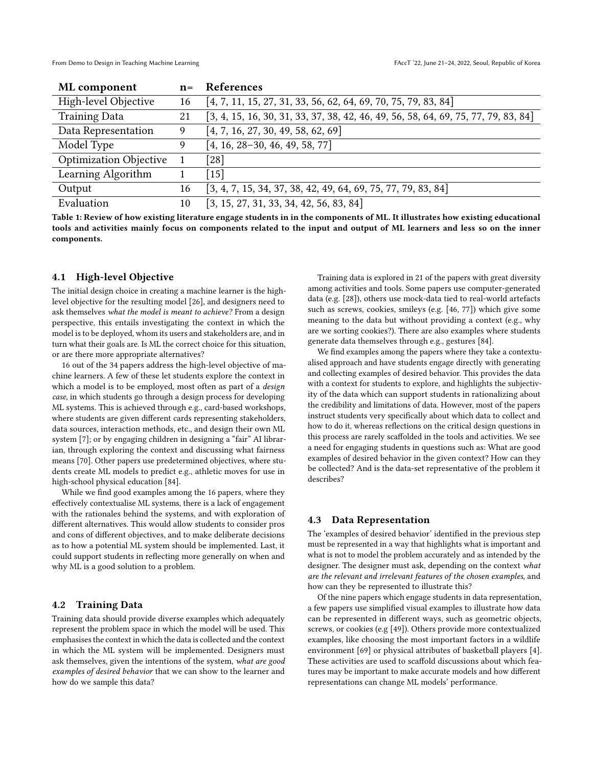From Demo to Design in Teaching Machine Learning FACCT is a strong to the street of Korea of Korea and Table 1

<span id="page-4-0"></span>

| ML component                  | $n =$ | References                                                                           |
|-------------------------------|-------|--------------------------------------------------------------------------------------|
| High-level Objective          | 16    | $[4, 7, 11, 15, 27, 31, 33, 56, 62, 64, 69, 70, 75, 79, 83, 84]$                     |
| <b>Training Data</b>          | 21    | $[3, 4, 15, 16, 30, 31, 33, 37, 38, 42, 46, 49, 56, 58, 64, 69, 75, 77, 79, 83, 84]$ |
| Data Representation           | 9     | [4, 7, 16, 27, 30, 49, 58, 62, 69]                                                   |
| Model Type                    | 9     | $[4, 16, 28-30, 46, 49, 58, 77]$                                                     |
| <b>Optimization Objective</b> |       | [28]                                                                                 |
| Learning Algorithm            |       | $[15]$                                                                               |
| Output                        | 16    | $[3, 4, 7, 15, 34, 37, 38, 42, 49, 64, 69, 75, 77, 79, 83, 84]$                      |
| Evaluation                    | 10    | $[3, 15, 27, 31, 33, 34, 42, 56, 83, 84]$                                            |

Table 1: Review of how existing literature engage students in in the components of ML. It illustrates how existing educational tools and activities mainly focus on components related to the input and output of ML learners and less so on the inner components.

## 4.1 High-level Objective

The initial design choice in creating a machine learner is the highlevel objective for the resulting model [\[26\]](#page-8-24), and designers need to ask themselves what the model is meant to achieve? From a design perspective, this entails investigating the context in which the model is to be deployed, whom its users and stakeholders are, and in turn what their goals are. Is ML the correct choice for this situation, or are there more appropriate alternatives?

16 out of the 34 papers address the high-level objective of machine learners. A few of these let students explore the context in which a model is to be employed, most often as part of a *design* case, in which students go through a design process for developing ML systems. This is achieved through e.g., card-based workshops, where students are given different cards representing stakeholders, data sources, interaction methods, etc., and design their own ML system [\[7\]](#page-8-26); or by engaging children in designing a "fair" AI librarian, through exploring the context and discussing what fairness means [\[70\]](#page-9-28). Other papers use predetermined objectives, where students create ML models to predict e.g., athletic moves for use in high-school physical education [\[84\]](#page-9-32).

While we find good examples among the 16 papers, where they effectively contextualise ML systems, there is a lack of engagement with the rationales behind the systems, and with exploration of different alternatives. This would allow students to consider pros and cons of different objectives, and to make deliberate decisions as to how a potential ML system should be implemented. Last, it could support students in reflecting more generally on when and why ML is a good solution to a problem.

#### 4.2 Training Data

Training data should provide diverse examples which adequately represent the problem space in which the model will be used. This emphasises the context in which the data is collected and the context in which the ML system will be implemented. Designers must ask themselves, given the intentions of the system, what are good examples of desired behavior that we can show to the learner and how do we sample this data?

Training data is explored in 21 of the papers with great diversity among activities and tools. Some papers use computer-generated data (e.g. [\[28\]](#page-8-37)), others use mock-data tied to real-world artefacts such as screws, cookies, smileys (e.g. [\[46,](#page-9-33) [77\]](#page-9-36)) which give some meaning to the data but without providing a context (e.g., why are we sorting cookies?). There are also examples where students generate data themselves through e.g., gestures [\[84\]](#page-9-32).

We find examples among the papers where they take a contextualised approach and have students engage directly with generating and collecting examples of desired behavior. This provides the data with a context for students to explore, and highlights the subjectivity of the data which can support students in rationalizing about the credibility and limitations of data. However, most of the papers instruct students very specifically about which data to collect and how to do it, whereas reflections on the critical design questions in this process are rarely scaffolded in the tools and activities. We see a need for engaging students in questions such as: What are good examples of desired behavior in the given context? How can they be collected? And is the data-set representative of the problem it describes?

#### 4.3 Data Representation

The 'examples of desired behavior' identified in the previous step must be represented in a way that highlights what is important and what is not to model the problem accurately and as intended by the designer. The designer must ask, depending on the context what are the relevant and irrelevant features of the chosen examples, and how can they be represented to illustrate this?

Of the nine papers which engage students in data representation, a few papers use simplified visual examples to illustrate how data can be represented in different ways, such as geometric objects, screws, or cookies (e.g [\[49\]](#page-9-34)). Others provide more contextualized examples, like choosing the most important factors in a wildlife environment [\[69\]](#page-9-27) or physical attributes of basketball players [\[4\]](#page-8-25). These activities are used to scaffold discussions about which features may be important to make accurate models and how different representations can change ML models' performance.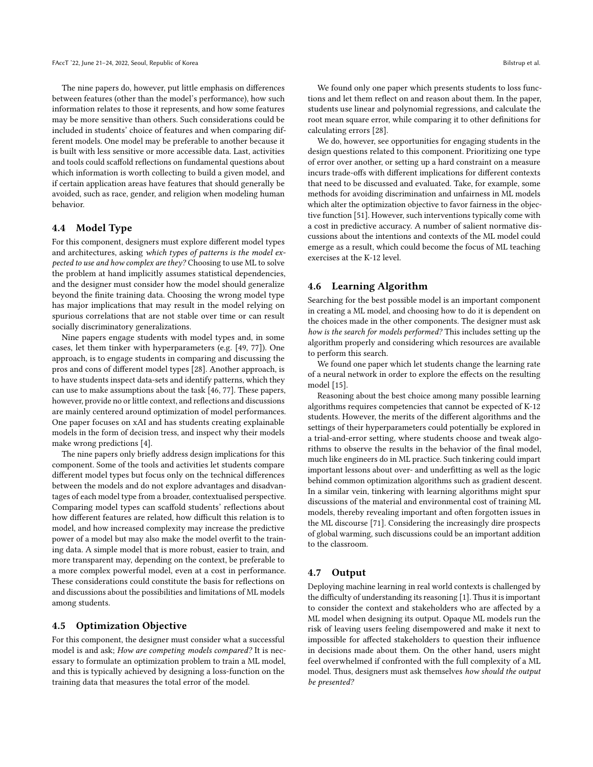The nine papers do, however, put little emphasis on differences between features (other than the model's performance), how such information relates to those it represents, and how some features may be more sensitive than others. Such considerations could be included in students' choice of features and when comparing different models. One model may be preferable to another because it is built with less sensitive or more accessible data. Last, activities and tools could scaffold reflections on fundamental questions about which information is worth collecting to build a given model, and if certain application areas have features that should generally be avoided, such as race, gender, and religion when modeling human behavior.

#### 4.4 Model Type

For this component, designers must explore different model types and architectures, asking which types of patterns is the model expected to use and how complex are they? Choosing to use ML to solve the problem at hand implicitly assumes statistical dependencies, and the designer must consider how the model should generalize beyond the finite training data. Choosing the wrong model type has major implications that may result in the model relying on spurious correlations that are not stable over time or can result socially discriminatory generalizations.

Nine papers engage students with model types and, in some cases, let them tinker with hyperparameters (e.g. [\[49,](#page-9-34) [77\]](#page-9-36)). One approach, is to engage students in comparing and discussing the pros and cons of different model types [\[28\]](#page-8-37). Another approach, is to have students inspect data-sets and identify patterns, which they can use to make assumptions about the task [\[46,](#page-9-33) [77\]](#page-9-36). These papers, however, provide no or little context, and reflections and discussions are mainly centered around optimization of model performances. One paper focuses on xAI and has students creating explainable models in the form of decision tress, and inspect why their models make wrong predictions [\[4\]](#page-8-25).

The nine papers only briefly address design implications for this component. Some of the tools and activities let students compare different model types but focus only on the technical differences between the models and do not explore advantages and disadvantages of each model type from a broader, contextualised perspective. Comparing model types can scaffold students' reflections about how different features are related, how difficult this relation is to model, and how increased complexity may increase the predictive power of a model but may also make the model overfit to the training data. A simple model that is more robust, easier to train, and more transparent may, depending on the context, be preferable to a more complex powerful model, even at a cost in performance. These considerations could constitute the basis for reflections on and discussions about the possibilities and limitations of ML models among students.

#### 4.5 Optimization Objective

For this component, the designer must consider what a successful model is and ask; How are competing models compared? It is necessary to formulate an optimization problem to train a ML model, and this is typically achieved by designing a loss-function on the training data that measures the total error of the model.

We found only one paper which presents students to loss functions and let them reflect on and reason about them. In the paper, students use linear and polynomial regressions, and calculate the root mean square error, while comparing it to other definitions for calculating errors [\[28\]](#page-8-37).

We do, however, see opportunities for engaging students in the design questions related to this component. Prioritizing one type of error over another, or setting up a hard constraint on a measure incurs trade-offs with different implications for different contexts that need to be discussed and evaluated. Take, for example, some methods for avoiding discrimination and unfairness in ML models which alter the optimization objective to favor fairness in the objective function [\[51\]](#page-9-37). However, such interventions typically come with a cost in predictive accuracy. A number of salient normative discussions about the intentions and contexts of the ML model could emerge as a result, which could become the focus of ML teaching exercises at the K-12 level.

#### 4.6 Learning Algorithm

Searching for the best possible model is an important component in creating a ML model, and choosing how to do it is dependent on the choices made in the other components. The designer must ask how is the search for models performed? This includes setting up the algorithm properly and considering which resources are available to perform this search.

We found one paper which let students change the learning rate of a neural network in order to explore the effects on the resulting model [\[15\]](#page-8-16).

Reasoning about the best choice among many possible learning algorithms requires competencies that cannot be expected of K-12 students. However, the merits of the different algorithms and the settings of their hyperparameters could potentially be explored in a trial-and-error setting, where students choose and tweak algorithms to observe the results in the behavior of the final model, much like engineers do in ML practice. Such tinkering could impart important lessons about over- and underfitting as well as the logic behind common optimization algorithms such as gradient descent. In a similar vein, tinkering with learning algorithms might spur discussions of the material and environmental cost of training ML models, thereby revealing important and often forgotten issues in the ML discourse [\[71\]](#page-9-38). Considering the increasingly dire prospects of global warming, such discussions could be an important addition to the classroom.

#### 4.7 Output

Deploying machine learning in real world contexts is challenged by the difficulty of understanding its reasoning [\[1\]](#page-7-0). Thus it is important to consider the context and stakeholders who are affected by a ML model when designing its output. Opaque ML models run the risk of leaving users feeling disempowered and make it next to impossible for affected stakeholders to question their influence in decisions made about them. On the other hand, users might feel overwhelmed if confronted with the full complexity of a ML model. Thus, designers must ask themselves how should the output be presented?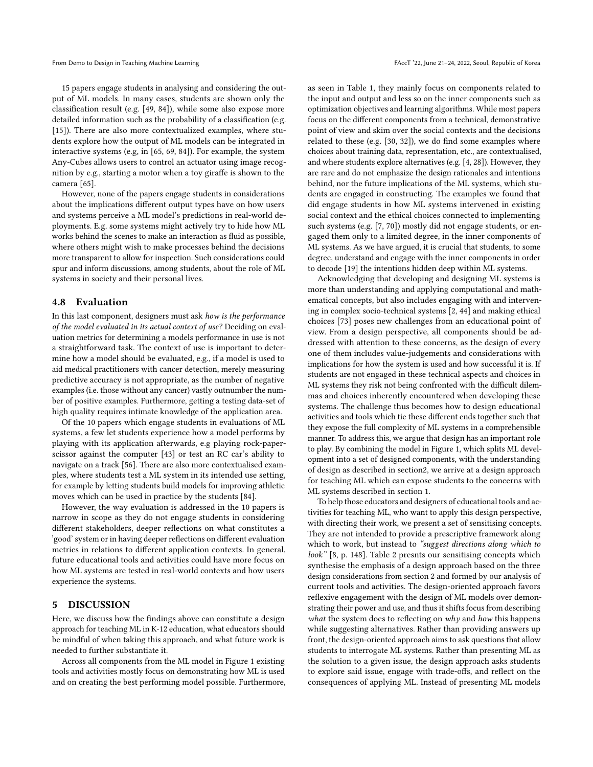15 papers engage students in analysing and considering the output of ML models. In many cases, students are shown only the classification result (e.g. [\[49,](#page-9-34) [84\]](#page-9-32)), while some also expose more detailed information such as the probability of a classification (e.g. [\[15\]](#page-8-16)). There are also more contextualized examples, where students explore how the output of ML models can be integrated in interactive systems (e.g, in [\[65,](#page-9-39) [69,](#page-9-27) [84\]](#page-9-32)). For example, the system Any-Cubes allows users to control an actuator using image recognition by e.g., starting a motor when a toy giraffe is shown to the camera [\[65\]](#page-9-39).

However, none of the papers engage students in considerations about the implications different output types have on how users and systems perceive a ML model's predictions in real-world deployments. E.g. some systems might actively try to hide how ML works behind the scenes to make an interaction as fluid as possible, where others might wish to make processes behind the decisions more transparent to allow for inspection. Such considerations could spur and inform discussions, among students, about the role of ML systems in society and their personal lives.

#### 4.8 Evaluation

In this last component, designers must ask how is the performance of the model evaluated in its actual context of use? Deciding on evaluation metrics for determining a models performance in use is not a straightforward task. The context of use is important to determine how a model should be evaluated, e.g., if a model is used to aid medical practitioners with cancer detection, merely measuring predictive accuracy is not appropriate, as the number of negative examples (i.e. those without any cancer) vastly outnumber the number of positive examples. Furthermore, getting a testing data-set of high quality requires intimate knowledge of the application area.

Of the 10 papers which engage students in evaluations of ML systems, a few let students experience how a model performs by playing with its application afterwards, e.g playing rock-paperscissor against the computer [\[43\]](#page-8-39) or test an RC car's ability to navigate on a track [\[56\]](#page-9-24). There are also more contextualised examples, where students test a ML system in its intended use setting, for example by letting students build models for improving athletic moves which can be used in practice by the students [\[84\]](#page-9-32).

However, the way evaluation is addressed in the 10 papers is narrow in scope as they do not engage students in considering different stakeholders, deeper reflections on what constitutes a 'good' system or in having deeper reflections on different evaluation metrics in relations to different application contexts. In general, future educational tools and activities could have more focus on how ML systems are tested in real-world contexts and how users experience the systems.

#### 5 DISCUSSION

Here, we discuss how the findings above can constitute a design approach for teaching ML in K-12 education, what educators should be mindful of when taking this approach, and what future work is needed to further substantiate it.

Across all components from the ML model in Figure [1](#page-2-0) existing tools and activities mostly focus on demonstrating how ML is used and on creating the best performing model possible. Furthermore, as seen in Table [1,](#page-4-0) they mainly focus on components related to the input and output and less so on the inner components such as optimization objectives and learning algorithms. While most papers focus on the different components from a technical, demonstrative point of view and skim over the social contexts and the decisions related to these (e.g. [\[30,](#page-8-33) [32\]](#page-8-40)), we do find some examples where choices about training data, representation, etc., are contextualised, and where students explore alternatives (e.g. [\[4,](#page-8-25) [28\]](#page-8-37)). However, they are rare and do not emphasize the design rationales and intentions behind, nor the future implications of the ML systems, which students are engaged in constructing. The examples we found that did engage students in how ML systems intervened in existing social context and the ethical choices connected to implementing such systems (e.g. [\[7,](#page-8-26) [70\]](#page-9-28)) mostly did not engage students, or engaged them only to a limited degree, in the inner components of ML systems. As we have argued, it is crucial that students, to some degree, understand and engage with the inner components in order to decode [\[19\]](#page-8-13) the intentions hidden deep within ML systems.

Acknowledging that developing and designing ML systems is more than understanding and applying computational and mathematical concepts, but also includes engaging with and intervening in complex socio-technical systems [\[2,](#page-8-8) [44\]](#page-9-5) and making ethical choices [\[73\]](#page-9-7) poses new challenges from an educational point of view. From a design perspective, all components should be addressed with attention to these concerns, as the design of every one of them includes value-judgements and considerations with implications for how the system is used and how successful it is. If students are not engaged in these technical aspects and choices in ML systems they risk not being confronted with the difficult dilemmas and choices inherently encountered when developing these systems. The challenge thus becomes how to design educational activities and tools which tie these different ends together such that they expose the full complexity of ML systems in a comprehensible manner. To address this, we argue that design has an important role to play. By combining the model in Figure [1,](#page-2-0) which splits ML development into a set of designed components, with the understanding of design as described in sectio[n2,](#page-1-3) we arrive at a design approach for teaching ML which can expose students to the concerns with ML systems described in section [1.](#page-0-0)

To help those educators and designers of educational tools and activities for teaching ML, who want to apply this design perspective, with directing their work, we present a set of sensitising concepts. They are not intended to provide a prescriptive framework along which to work, but instead to "suggest directions along which to look" [\[8,](#page-8-19) p. 148]. Table [2](#page-7-1) presnts our sensitising concepts which synthesise the emphasis of a design approach based on the three design considerations from section [2](#page-1-3) and formed by our analysis of current tools and activities. The design-oriented approach favors reflexive engagement with the design of ML models over demonstrating their power and use, and thus it shifts focus from describing what the system does to reflecting on  $why$  and how this happens while suggesting alternatives. Rather than providing answers up front, the design-oriented approach aims to ask questions that allow students to interrogate ML systems. Rather than presenting ML as the solution to a given issue, the design approach asks students to explore said issue, engage with trade-offs, and reflect on the consequences of applying ML. Instead of presenting ML models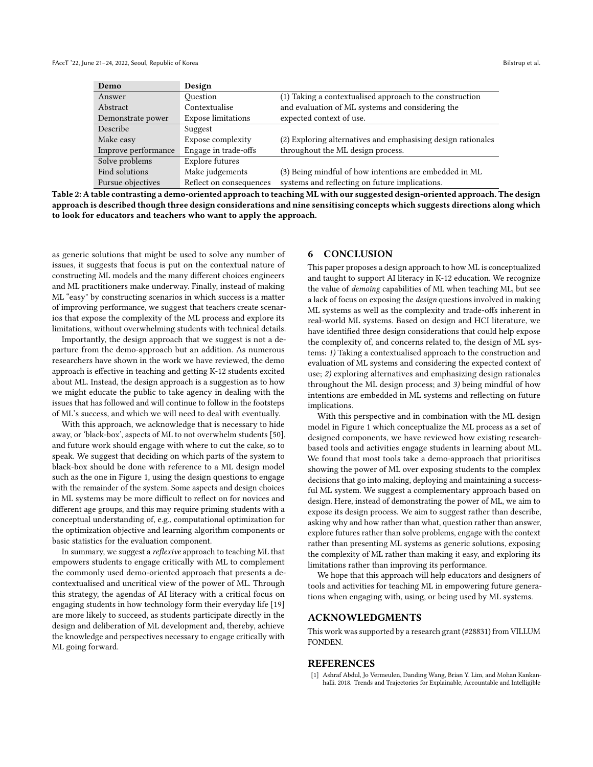<span id="page-7-1"></span>

| Demo                | Design                    |                                                              |
|---------------------|---------------------------|--------------------------------------------------------------|
| Answer              | Ouestion                  | (1) Taking a contextualised approach to the construction     |
| Abstract            | Contextualise             | and evaluation of ML systems and considering the             |
| Demonstrate power   | <b>Expose limitations</b> | expected context of use.                                     |
| Describe            | Suggest                   |                                                              |
| Make easy           | Expose complexity         | (2) Exploring alternatives and emphasising design rationales |
| Improve performance | Engage in trade-offs      | throughout the ML design process.                            |
| Solve problems      | Explore futures           |                                                              |
| Find solutions      | Make judgements           | (3) Being mindful of how intentions are embedded in ML       |
| Pursue objectives   | Reflect on consequences   | systems and reflecting on future implications.               |

Table 2: A table contrasting a demo-oriented approach to teaching ML with our suggested design-oriented approach. The design approach is described though three design considerations and nine sensitising concepts which suggests directions along which to look for educators and teachers who want to apply the approach.

as generic solutions that might be used to solve any number of issues, it suggests that focus is put on the contextual nature of constructing ML models and the many different choices engineers and ML practitioners make underway. Finally, instead of making ML "easy" by constructing scenarios in which success is a matter of improving performance, we suggest that teachers create scenarios that expose the complexity of the ML process and explore its limitations, without overwhelming students with technical details.

Importantly, the design approach that we suggest is not a departure from the demo-approach but an addition. As numerous researchers have shown in the work we have reviewed, the demo approach is effective in teaching and getting K-12 students excited about ML. Instead, the design approach is a suggestion as to how we might educate the public to take agency in dealing with the issues that has followed and will continue to follow in the footsteps of ML's success, and which we will need to deal with eventually.

With this approach, we acknowledge that is necessary to hide away, or 'black-box', aspects of ML to not overwhelm students [\[50\]](#page-9-40), and future work should engage with where to cut the cake, so to speak. We suggest that deciding on which parts of the system to black-box should be done with reference to a ML design model such as the one in Figure [1,](#page-2-0) using the design questions to engage with the remainder of the system. Some aspects and design choices in ML systems may be more difficult to reflect on for novices and different age groups, and this may require priming students with a conceptual understanding of, e.g., computational optimization for the optimization objective and learning algorithm components or basic statistics for the evaluation component.

In summary, we suggest a reflexive approach to teaching ML that empowers students to engage critically with ML to complement the commonly used demo-oriented approach that presents a decontextualised and uncritical view of the power of ML. Through this strategy, the agendas of AI literacy with a critical focus on engaging students in how technology form their everyday life [\[19\]](#page-8-13) are more likely to succeed, as students participate directly in the design and deliberation of ML development and, thereby, achieve the knowledge and perspectives necessary to engage critically with ML going forward.

#### 6 CONCLUSION

This paper proposes a design approach to how ML is conceptualized and taught to support AI literacy in K-12 education. We recognize the value of demoing capabilities of ML when teaching ML, but see a lack of focus on exposing the design questions involved in making ML systems as well as the complexity and trade-offs inherent in real-world ML systems. Based on design and HCI literature, we have identified three design considerations that could help expose the complexity of, and concerns related to, the design of ML systems: 1) Taking a contextualised approach to the construction and evaluation of ML systems and considering the expected context of use; 2) exploring alternatives and emphasizing design rationales throughout the ML design process; and 3) being mindful of how intentions are embedded in ML systems and reflecting on future implications.

With this perspective and in combination with the ML design model in [Figure 1](#page-2-0) which conceptualize the ML process as a set of designed components, we have reviewed how existing researchbased tools and activities engage students in learning about ML. We found that most tools take a demo-approach that prioritises showing the power of ML over exposing students to the complex decisions that go into making, deploying and maintaining a successful ML system. We suggest a complementary approach based on design. Here, instead of demonstrating the power of ML, we aim to expose its design process. We aim to suggest rather than describe, asking why and how rather than what, question rather than answer, explore futures rather than solve problems, engage with the context rather than presenting ML systems as generic solutions, exposing the complexity of ML rather than making it easy, and exploring its limitations rather than improving its performance.

We hope that this approach will help educators and designers of tools and activities for teaching ML in empowering future generations when engaging with, using, or being used by ML systems.

#### ACKNOWLEDGMENTS

This work was supported by a research grant (#28831) from VILLUM FONDEN.

#### **REFERENCES**

<span id="page-7-0"></span>[1] Ashraf Abdul, Jo Vermeulen, Danding Wang, Brian Y. Lim, and Mohan Kankanhalli. 2018. Trends and Trajectories for Explainable, Accountable and Intelligible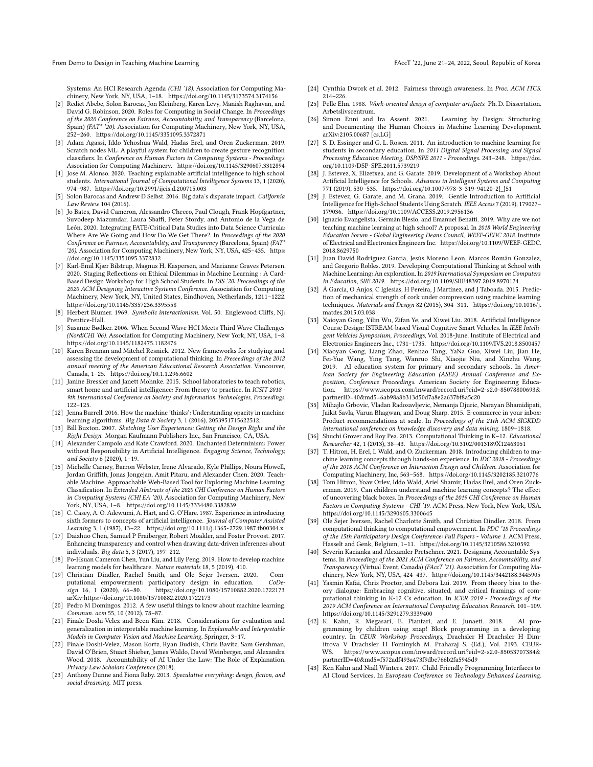From Demo to Design in Teaching Machine Learning FACCT is a strong to the street of Korea of Korea and Table 1

Systems: An HCI Research Agenda (CHI '18). Association for Computing Machinery, New York, NY, USA, 1–18.<https://doi.org/10.1145/3173574.3174156>

- <span id="page-8-8"></span>[2] Rediet Abebe, Solon Barocas, Jon Kleinberg, Karen Levy, Manish Raghavan, and David G. Robinson. 2020. Roles for Computing in Social Change. In Proceedings of the 2020 Conference on Fairness, Accountability, and Transparency (Barcelona, Spain) (FAT\* '20). Association for Computing Machinery, New York, NY, USA, 252–260.<https://doi.org/10.1145/3351095.3372871>
- <span id="page-8-31"></span>[3] Adam Agassi, Iddo Yehoshua Wald, Hadas Erel, and Oren Zuckerman. 2019. Scratch nodes ML: A playful system for children to create gesture recognition classifiers. In Conference on Human Factors in Computing Systems - Proceedings. Association for Computing Machinery.<https://doi.org/10.1145/3290607.3312894>
- <span id="page-8-25"></span>[4] Jose M. Alonso. 2020. Teaching explainable artificial intelligence to high school students. International Journal of  $\dot{C}$ omputational Intelligence Systems 13, 1 (2020), 974–987.<https://doi.org/10.2991/ijcis.d.200715.003>
- <span id="page-8-3"></span>[5] Solon Barocas and Andrew D Selbst. 2016. Big data's disparate impact. California Law Review 104 (2016).
- <span id="page-8-10"></span>[6] Jo Bates, David Cameron, Alessandro Checco, Paul Clough, Frank Hopfgartner, Suvodeep Mazumdar, Laura Sbaffi, Peter Stordy, and Antonio de la Vega de León. 2020. Integrating FATE/Critical Data Studies into Data Science Curricula: Where Are We Going and How Do We Get There?. In Proceedings of the 2020 Conference on Fairness, Accountability, and Transparency (Barcelona, Spain) (FAT\* '20). Association for Computing Machinery, New York, NY, USA, 425–435. [https:](https://doi.org/10.1145/3351095.3372832) [//doi.org/10.1145/3351095.3372832](https://doi.org/10.1145/3351095.3372832)
- <span id="page-8-26"></span>[7] Karl-Emil Kjær Bilstrup, Magnus H. Kaspersen, and Marianne Graves Petersen. 2020. Staging Reflections on Ethical Dilemmas in Machine Learning : A Card-Based Design Workshop for High School Students. In DIS '20: Proceedings of the 2020 ACM Designing Interactive Systems Conference. Association for Computing Machinery, New York, NY, United States, Eindhoven, Netherlands, 1211–1222. <https://doi.org/10.1145/3357236.3395558>
- <span id="page-8-19"></span>[8] Herbert Blumer. 1969. Symbolic interactionism. Vol. 50. Englewood Cliffs, NJ: Prentice-Hall.
- <span id="page-8-17"></span>[9] Susanne Bødker. 2006. When Second Wave HCI Meets Third Wave Challenges (NordiCHI '06). Association for Computing Machinery, New York, NY, USA, 1–8. <https://doi.org/10.1145/1182475.1182476>
- <span id="page-8-12"></span>[10] Karen Brennan and Mitchel Resnick. 2012. New frameworks for studying and assessing the development of computational thinking. In Preceedings of the 2012 annual meeting of the American Educational Research Association. Vancouver, Canada, 1–25.<https://doi.org/10.1.1.296.6602>
- <span id="page-8-27"></span>[11] Janine Bressler and Janett Mohnke. 2015. School laboratories to teach robotics, smart home and artificial intelligence: From theory to practice. In ICSIT 2018 - 9th International Conference on Society and Information Technologies, Proceedings. 122–125.
- <span id="page-8-2"></span>[12] Jenna Burrell. 2016. How the machine 'thinks': Understanding opacity in machine learning algorithms. Big Data & Society 3, 1 (2016), 2053951715622512.
- <span id="page-8-18"></span>[13] Bill Buxton. 2007. Sketching User Experiences: Getting the Design Right and the Right Design. Morgan Kaufmann Publishers Inc., San Francisco, CA, USA.
- <span id="page-8-23"></span>[14] Alexander Campolo and Kate Crawford. 2020. Enchanted Determinism: Power without Responsibility in Artificial Intelligence. Engaging Science, Technology, and Society 6 (2020), 1–19.
- <span id="page-8-16"></span>[15] Michelle Carney, Barron Webster, Irene Alvarado, Kyle Phillips, Noura Howell, Jordan Griffith, Jonas Jongejan, Amit Pitaru, and Alexander Chen. 2020. Teachable Machine: Approachable Web-Based Tool for Exploring Machine Learning Classification. In Extended Abstracts of the 2020 CHI Conference on Human Factors in Computing Systems (CHI EA '20). Association for Computing Machinery, New York, NY, USA, 1–8.<https://doi.org/10.1145/3334480.3382839>
- <span id="page-8-32"></span>[16] C. Casey, A. O. Adewumi, A. Hart, and G. O'Hare. 1987. Experience in introducing sixth formers to concepts of artificial intelligence. Journal of Computer Assisted Learning 3, 1 (1987), 13–22.<https://doi.org/10.1111/j.1365-2729.1987.tb00304.x>
- <span id="page-8-7"></span>[17] Daizhuo Chen, Samuel P Fraiberger, Robert Moakler, and Foster Provost. 2017. Enhancing transparency and control when drawing data-driven inferences about individuals. Big data 5, 3 (2017), 197–212.
- <span id="page-8-0"></span>[18] Po-Hsuan Cameron Chen, Yun Liu, and Lily Peng. 2019. How to develop machine learning models for healthcare. Nature materials 18, 5 (2019), 410.
- <span id="page-8-13"></span>[19] Christian Dindler, Rachel Smith, and Ole Sejer Iversen. 2020. Computational empowerment: participatory design in education. CoDe-<br>sign 16, 1 (2020), 66-80. https://doi.org/10.1080/15710882.2020.1722173 https://doi.org/10.1080/15710882.2020.1722173 arXiv[:https://doi.org/10.1080/15710882.2020.1722173](https://arxiv.org/abs/https://doi.org/10.1080/15710882.2020.1722173)
- <span id="page-8-22"></span>[20] Pedro M Domingos. 2012. A few useful things to know about machine learning. Commun. acm 55, 10 (2012), 78–87.
- <span id="page-8-4"></span>[21] Finale Doshi-Velez and Been Kim. 2018. Considerations for evaluation and generalization in interpretable machine learning. In Explainable and Interpretable Models in Computer Vision and Machine Learning. Springer, 3–17.
- <span id="page-8-5"></span>[22] Finale Doshi-Velez, Mason Kortz, Ryan Budish, Chris Bavitz, Sam Gershman, David O'Brien, Stuart Shieber, James Waldo, David Weinberger, and Alexandra Wood. 2018. Accountability of AI Under the Law: The Role of Explanation. Privacy Law Scholars Conference (2018).
- <span id="page-8-21"></span>[23] Anthony Dunne and Fiona Raby. 2013. Speculative everything: design, fiction, and social dreaming. MIT press.
- <span id="page-8-6"></span>[24] Cynthia Dwork et al. 2012. Fairness through awareness. In Proc. ACM ITCS. 214–226.
- <span id="page-8-20"></span>[25] Pelle Ehn. 1988. Work-oriented design of computer artifacts. Ph. D. Dissertation. Arbetslivscentrum.
- <span id="page-8-24"></span>[26] Simon Enni and Ira Assent. 2021. Learning by Design: Structuring and Documenting the Human Choices in Machine Learning Development. arXiv[:2105.00687](https://arxiv.org/abs/2105.00687) [cs.LG]
- <span id="page-8-28"></span>[27] S. D. Essinger and G. L. Rosen. 2011. An introduction to machine learning for students in secondary education. In 2011 Digital Signal Processing and Signal Processing Education Meeting, DSP/SPE 2011 - Proceedings. 243–248. [https://doi.](https://doi.org/10.1109/DSP-SPE.2011.5739219) [org/10.1109/DSP-SPE.2011.5739219](https://doi.org/10.1109/DSP-SPE.2011.5739219)
- <span id="page-8-37"></span>[28] J. Estevez, X. Elizetxea, and G. Garate. 2019. Development of a Workshop About Artificial Intelligence for Schools. Advances in Intelligent Systems and Computing 771 (2019), 530–535. [https://doi.org/10.1007/978-3-319-94120-2{\\_}51](https://doi.org/10.1007/978-3-319-94120-2{_}51)
- [29] J. Estevez, G. Garate, and M. Grana. 2019. Gentle Introduction to Artificial Intelligence for High-School Students Using Scratch. IEEE Access 7 (2019), 179027– 179036.<https://doi.org/10.1109/ACCESS.2019.2956136>
- <span id="page-8-33"></span>[30] Ignacio Evangelista, Germán Blesio, and Emanuel Benatti. 2019. Why are we not teaching machine learning at high school? A proposal. In 2018 World Engineering Education Forum - Global Engineering Deans Council, WEEF-GEDC 2018. Institute of Electrical and Electronics Engineers Inc. [https://doi.org/10.1109/WEEF-GEDC.](https://doi.org/10.1109/WEEF-GEDC.2018.8629750) [2018.8629750](https://doi.org/10.1109/WEEF-GEDC.2018.8629750)
- <span id="page-8-29"></span>[31] Juan David Rodríguez Garcia, Jesús Moreno Leon, Marcos Román Gonzalez, and Gregorio Robles. 2019. Developing Computational Thinking at School with Machine Learning: An exploration. In 2019 International Symposium on Computers in Education, SIIE 2019.<https://doi.org/10.1109/SIIE48397.2019.8970124>
- <span id="page-8-40"></span>[32] Á García, O Anjos, C Iglesias, H Pereira, J Martínez, and J Taboada. 2015. Prediction of mechanical strength of cork under compression using machine learning techniques. Materials and Design 82 (2015), 304–311. [https://doi.org/10.1016/j.](https://doi.org/10.1016/j.matdes.2015.03.038) [matdes.2015.03.038](https://doi.org/10.1016/j.matdes.2015.03.038)
- <span id="page-8-30"></span>[33] Xaioyan Gong, Yilin Wu, Zifan Ye, and Xiwei Liu. 2018. Artificial Intelligence Course Design: ISTREAM-based Visual Cognitive Smart Vehicles. In IEEE Intelligent Vehicles Symposium, Proceedings, Vol. 2018-June. Institute of Electrical and Electronics Engineers Inc., 1731–1735.<https://doi.org/10.1109/IVS.2018.8500457>
- <span id="page-8-38"></span>[34] Xiaoyan Gong, Liang Zhao, Renhao Tang, YaNa Guo, Xiwei Liu, Jian He, Fei-Yue Wang, Ying Tang, Wanruo Shi, Xiaojie Niu, and Xinzhu Wang. 2019. AI education system for primary and secondary schools. In American Society for Engineering Education (ASEE) Annual Conference and Exposition, Conference Proceedings. American Society for Engineering Education. [https://www.scopus.com/inward/record.uri?eid=2-s2.0-85078800693&](https://www.scopus.com/inward/record.uri?eid=2-s2.0-85078800693&partnerID=40&md5=6ab98a8b313d50d7a8e2a637bf8a5c20) [partnerID=40&md5=6ab98a8b313d50d7a8e2a637bf8a5c20](https://www.scopus.com/inward/record.uri?eid=2-s2.0-85078800693&partnerID=40&md5=6ab98a8b313d50d7a8e2a637bf8a5c20)
- <span id="page-8-1"></span>[35] Mihajlo Grbovic, Vladan Radosavljevic, Nemanja Djuric, Narayan Bhamidipati, Jaikit Savla, Varun Bhagwan, and Doug Sharp. 2015. E-commerce in your inbox: Product recommendations at scale. In Proceedings of the 21th ACM SIGKDD international conference on knowledge discovery and data mining. 1809–1818.
- <span id="page-8-11"></span>[36] Shuchi Grover and Roy Pea. 2013. Computational Thinking in K–12. Educational Researcher 42, 1 (2013), 38–43.<https://doi.org/10.3102/0013189X12463051>
- <span id="page-8-34"></span>[37] T. Hitron, H. Erel, I. Wald, and O. Zuckerman. 2018. Introducing children to machine learning concepts through hands-on experience. In IDC 2018 - Proceedings of the 2018 ACM Conference on Interaction Design and Children. Association for Computing Machinery, Inc, 563–568.<https://doi.org/10.1145/3202185.3210776>
- <span id="page-8-35"></span>[38] Tom Hitron, Yoav Orlev, Iddo Wald, Ariel Shamir, Hadas Erel, and Oren Zuckerman. 2019. Can children understand machine learning concepts? The effect of uncovering black boxes. In Proceedings of the 2019 CHI Conference on Human Factors in Computing Systems - CHI '19. ACM Press, New York, New York, USA. <https://doi.org/10.1145/3290605.3300645>
- <span id="page-8-14"></span>[39] Ole Sejer Iversen, Rachel Charlotte Smith, and Christian Dindler. 2018. From computational thinking to computational empowerment. In PDC '18 Proceedings of the 15th Participatory Design Conference: Full Papers - Volume 1. ACM Press, Hasselt and Genk, Belgium, 1–11.<https://doi.org/10.1145/3210586.3210592>
- <span id="page-8-9"></span>[40] Severin Kacianka and Alexander Pretschner. 2021. Designing Accountable Systems. In Proceedings of the 2021 ACM Conference on Fairness, Accountability, and Transparency (Virtual Event, Canada) (FAccT '21). Association for Computing Machinery, New York, NY, USA, 424–437.<https://doi.org/10.1145/3442188.3445905>
- <span id="page-8-15"></span>[41] Yasmin Kafai, Chris Proctor, and Debora Lui. 2019. From theory bias to theory dialogue: Embracing cognitive, situated, and critical framings of computational thinking in K-12 Cs education. In ICER 2019 - Proceedings of the 2019 ACM Conference on International Computing Education Research. 101–109. <https://doi.org/10.1145/3291279.3339400>
- <span id="page-8-36"></span>[42] K. Kahn, R. Megasari, E. Piantari, and E. Junaeti. 2018. AI programming by children using snap! Block programming in a developing country. In CEUR Workshop Proceedings, Drachsler H Drachsler H Dimitrova V Drachsler H Fominykh M. Praharaj S. (Ed.), Vol. 2193. CEUR-WS. [https://www.scopus.com/inward/record.uri?eid=2-s2.0-85053707384&](https://www.scopus.com/inward/record.uri?eid=2-s2.0-85053707384&partnerID=40&md5=f572adf493a473f9dbe766b2fa5945d9) [partnerID=40&md5=f572adf493a473f9dbe766b2fa5945d9](https://www.scopus.com/inward/record.uri?eid=2-s2.0-85053707384&partnerID=40&md5=f572adf493a473f9dbe766b2fa5945d9)
- <span id="page-8-39"></span>[43] Ken Kahn and Niall Winters. 2017. Child-Friendly Programming Interfaces to AI Cloud Services. In European Conference on Technology Enhanced Learning.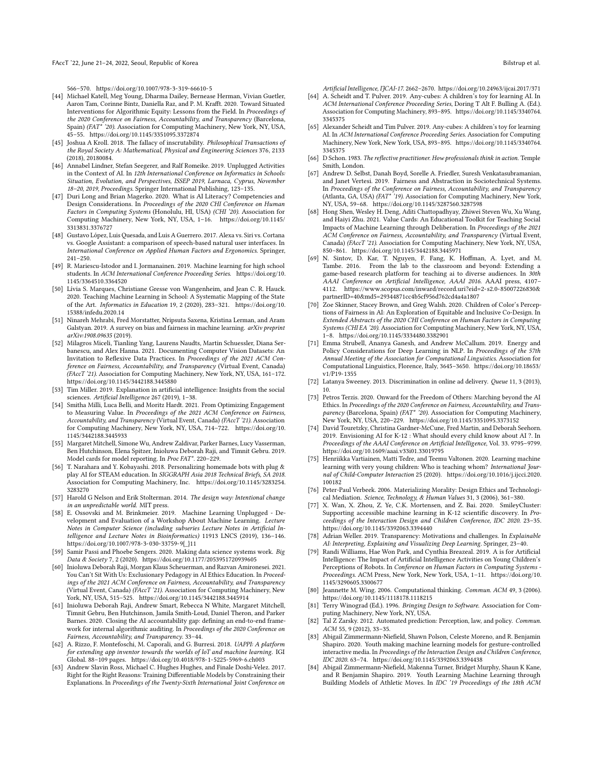566–570.<https://doi.org/10.1007/978-3-319-66610-5>

- <span id="page-9-5"></span>[44] Michael Katell, Meg Young, Dharma Dailey, Bernease Herman, Vivian Guetler, Aaron Tam, Corinne Bintz, Daniella Raz, and P. M. Krafft. 2020. Toward Situated Interventions for Algorithmic Equity: Lessons from the Field. In Proceedings of the 2020 Conference on Fairness, Accountability, and Transparency (Barcelona, Spain) (FAT\* '20). Association for Computing Machinery, New York, NY, USA, 45–55.<https://doi.org/10.1145/3351095.3372874>
- <span id="page-9-20"></span>[45] Joshua A Kroll. 2018. The fallacy of inscrutability. Philosophical Transactions of the Royal Society A: Mathematical, Physical and Engineering Sciences 376, 2133 (2018), 20180084.
- <span id="page-9-33"></span>[46] Annabel Lindner, Stefan Seegerer, and Ralf Romeike. 2019. Unplugged Activities in the Context of AI. In 12th International Conference on Informatics in Schools: Situation, Evolution, and Perspectives, ISSEP 2019, Larnaca, Cyprus, November 18–20, 2019, Proceedings. Springer International Publishing, 123–135.
- <span id="page-9-10"></span>[47] Duri Long and Brian Magerko. 2020. What is AI Literacy? Competencies and Design Considerations. In Proceedings of the 2020 CHI Conference on Human Factors in Computing Systems (Honolulu, HI, USA) (CHI '20). Association for Computing Machinery, New York, NY, USA, 1–16. [https://doi.org/10.1145/](https://doi.org/10.1145/3313831.3376727) [3313831.3376727](https://doi.org/10.1145/3313831.3376727)
- <span id="page-9-1"></span>[48] Gustavo López, Luis Quesada, and Luis A Guerrero. 2017. Alexa vs. Siri vs. Cortana vs. Google Assistant: a comparison of speech-based natural user interfaces. In International Conference on Applied Human Factors and Ergonomics. Springer, 241–250.
- <span id="page-9-34"></span>[49] R. Mariescu-Istodor and I. Jormanainen. 2019. Machine learning for high school students. In ACM International Conference Proceeding Series. [https://doi.org/10.](https://doi.org/10.1145/3364510.3364520) [1145/3364510.3364520](https://doi.org/10.1145/3364510.3364520)
- <span id="page-9-40"></span>[50] Lívia S. Marques, Christiane Gresse von Wangenheim, and Jean C. R. Hauck. 2020. Teaching Machine Learning in School: A Systematic Mapping of the State of the Art. Informatics in Education 19, 2 (2020), 283–321. [https://doi.org/10.](https://doi.org/10.15388/infedu.2020.14) [15388/infedu.2020.14](https://doi.org/10.15388/infedu.2020.14)
- <span id="page-9-37"></span>[51] Ninareh Mehrabi, Fred Morstatter, Nripsuta Saxena, Kristina Lerman, and Aram Galstyan. 2019. A survey on bias and fairness in machine learning. arXiv preprint arXiv:1908.09635 (2019).
- <span id="page-9-21"></span>[52] Milagros Miceli, Tianling Yang, Laurens Naudts, Martin Schuessler, Diana Ser-banescu, and Alex Hanna. 2021. Documenting Computer Vision Datasets: An Invitation to Reflexive Data Practices. In Proceedings of the 2021 ACM Conference on Fairness, Accountability, and Transparency (Virtual Event, Canada) (FAccT '21). Association for Computing Machinery, New York, NY, USA, 161–172. <https://doi.org/10.1145/3442188.3445880>
- <span id="page-9-14"></span>[53] Tim Miller. 2019. Explanation in artificial intelligence: Insights from the social sciences. Artificial Intelligence 267 (2019), 1–38.
- <span id="page-9-16"></span>[54] Smitha Milli, Luca Belli, and Moritz Hardt. 2021. From Optimizing Engagement to Measuring Value. In Proceedings of the 2021 ACM Conference on Fairness, Accountability, and Transparency (Virtual Event, Canada) (FAccT '21). Association for Computing Machinery, New York, NY, USA, 714–722. [https://doi.org/10.](https://doi.org/10.1145/3442188.3445933) [1145/3442188.3445933](https://doi.org/10.1145/3442188.3445933)
- <span id="page-9-22"></span>[55] Margaret Mitchell, Simone Wu, Andrew Zaldivar, Parker Barnes, Lucy Vasserman, Ben Hutchinson, Elena Spitzer, Inioluwa Deborah Raji, and Timnit Gebru. 2019. Model cards for model reporting. In Proc FAT\*. 220–229.
- <span id="page-9-24"></span>[56] T. Narahara and Y. Kobayashi. 2018. Personalizing homemade bots with plug & play AI for STEAM education. In SIGGRAPH Asia 2018 Technical Briefs, SA 2018. Association for Computing Machinery, Inc. [https://doi.org/10.1145/3283254.](https://doi.org/10.1145/3283254.3283270) [3283270](https://doi.org/10.1145/3283254.3283270)
- <span id="page-9-17"></span>[57] Harold G Nelson and Erik Stolterman. 2014. The design way: Intentional change in an unpredictable world. MIT press.
- <span id="page-9-35"></span>[58] E. Ossovski and M. Brinkmeier. 2019. Machine Learning Unplugged - Development and Evaluation of a Workshop About Machine Learning. Lecture Notes in Computer Science (including subseries Lecture Notes in Artificial Intelligence and Lecture Notes in Bioinformatics) 11913 LNCS (2019), 136–146. [https://doi.org/10.1007/978-3-030-33759-9{\\_}11](https://doi.org/10.1007/978-3-030-33759-9{_}11)
- <span id="page-9-19"></span>[59] Samir Passi and Phoebe Sengers. 2020. Making data science systems work. Big Data & Society 7, 2 (2020).<https://doi.org/10.1177/2053951720939605>
- <span id="page-9-8"></span>[60] Inioluwa Deborah Raji, Morgan Klaus Scheuerman, and Razvan Amironesei. 2021. You Can't Sit With Us: Exclusionary Pedagogy in AI Ethics Education. In Proceedings of the 2021 ACM Conference on Fairness, Accountability, and Transparency (Virtual Event, Canada) (FAccT '21). Association for Computing Machinery, New York, NY, USA, 515–525.<https://doi.org/10.1145/3442188.3445914>
- <span id="page-9-23"></span>[61] Inioluwa Deborah Raji, Andrew Smart, Rebecca N White, Margaret Mitchell, Timnit Gebru, Ben Hutchinson, Jamila Smith-Loud, Daniel Theron, and Parker Barnes. 2020. Closing the AI accountability gap: defining an end-to-end framework for internal algorithmic auditing. In Proceedings of the 2020 Conference on Fairness, Accountability, and Transparency. 33–44.
- <span id="page-9-25"></span>[62] A. Rizzo, F. Montefoschi, M. Caporali, and G. Burresi. 2018. UAPPI: A platform for extending app inventor towards the worlds of loT and machine learning. IGI Global. 88–109 pages.<https://doi.org/10.4018/978-1-5225-5969-6.ch003>
- <span id="page-9-4"></span>[63] Andrew Slavin Ross, Michael C. Hughes Hughes, and Finale Doshi-Velez. 2017. Right for the Right Reasons: Training Differentiable Models by Constraining their Explanations. In Proceedings of the Twenty-Sixth International Joint Conference on

- <span id="page-9-26"></span>Artificial Intelligence, IJCAI-17. 2662–2670.<https://doi.org/10.24963/ijcai.2017/371> [64] A. Scheidt and T. Pulver. 2019. Any-cubes: A children's toy for learning AI. In ACM International Conference Proceeding Series, Doring T Alt F. Bulling A. (Ed.). Association for Computing Machinery, 893–895. [https://doi.org/10.1145/3340764.](https://doi.org/10.1145/3340764.3345375) [3345375](https://doi.org/10.1145/3340764.3345375)
- <span id="page-9-39"></span>[65] Alexander Scheidt and Tim Pulver. 2019. Any-cubes: A children's toy for learning AI. In ACM International Conference Proceeding Series. Association for Computing Machinery, New York, New York, USA, 893–895. [https://doi.org/10.1145/3340764.](https://doi.org/10.1145/3340764.3345375) [3345375](https://doi.org/10.1145/3340764.3345375)
- <span id="page-9-15"></span>[66] D Schon. 1983. The reflective practitioner. How professionals think in action. Temple Smith, London.
- <span id="page-9-6"></span>[67] Andrew D. Selbst, Danah Boyd, Sorelle A. Friedler, Suresh Venkatasubramanian, and Janet Vertesi. 2019. Fairness and Abstraction in Sociotechnical Systems. In Proceedings of the Conference on Fairness, Accountability, and Transparency (Atlanta, GA, USA) (FAT\* '19). Association for Computing Machinery, New York, NY, USA, 59–68.<https://doi.org/10.1145/3287560.3287598>
- <span id="page-9-9"></span>[68] Hong Shen, Wesley H. Deng, Aditi Chattopadhyay, Zhiwei Steven Wu, Xu Wang, and Haiyi Zhu. 2021. Value Cards: An Educational Toolkit for Teaching Social Impacts of Machine Learning through Deliberation. In Proceedings of the 2021 ACM Conference on Fairness, Accountability, and Transparency (Virtual Event, Canada) (FAccT '21). Association for Computing Machinery, New York, NY, USA, 850–861.<https://doi.org/10.1145/3442188.3445971>
- <span id="page-9-27"></span>[69] N. Sintov, D. Kar, T. Nguyen, F. Fang, K. Hoffman, A. Lyet, and M. Tambe. 2016. From the lab to the classroom and beyond: Extending a game-based research platform for teaching ai to diverse audiences. In 30th AAAI Conference on Artificial Intelligence, AAAI 2016. AAAI press, 4107– 4112. [https://www.scopus.com/inward/record.uri?eid=2-s2.0-85007226830&](https://www.scopus.com/inward/record.uri?eid=2-s2.0-85007226830&partnerID=40&md5=29344871cc4b5cf956d762cd4a4a1807) [partnerID=40&md5=29344871cc4b5cf956d762cd4a4a1807](https://www.scopus.com/inward/record.uri?eid=2-s2.0-85007226830&partnerID=40&md5=29344871cc4b5cf956d762cd4a4a1807)
- <span id="page-9-28"></span>[70] Zoe Skinner, Stacey Brown, and Greg Walsh. 2020. Children of Color's Perceptions of Fairness in AI: An Exploration of Equitable and Inclusive Co-Design. In Extended Abstracts of the 2020 CHI Conference on Human Factors in Computing Systems (CHI EA '20). Association for Computing Machinery, New York, NY, USA, 1–8.<https://doi.org/10.1145/3334480.3382901>
- <span id="page-9-38"></span>[71] Emma Strubell, Ananya Ganesh, and Andrew McCallum. 2019. Energy and Policy Considerations for Deep Learning in NLP. In Proceedings of the 57th Annual Meeting of the Association for Computational Linguistics. Association for Computational Linguistics, Florence, Italy, 3645–3650. [https://doi.org/10.18653/](https://doi.org/10.18653/v1/P19-1355) [v1/P19-1355](https://doi.org/10.18653/v1/P19-1355)
- <span id="page-9-2"></span>[72] Latanya Sweeney. 2013. Discrimination in online ad delivery. Queue 11, 3 (2013), 10.
- <span id="page-9-7"></span>[73] Petros Terzis. 2020. Onward for the Freedom of Others: Marching beyond the AI Ethics. In Proceedings of the 2020 Conference on Fairness, Accountability, and Trans-parency (Barcelona, Spain) (FAT\* '20). Association for Computing Machinery, New York, NY, USA, 220–229.<https://doi.org/10.1145/3351095.3373152>
- <span id="page-9-11"></span>[74] David Touretzky, Christina Gardner-McCune, Fred Martin, and Deborah Seehorn. 2019. Envisioning AI for K-12 : What should every child know about AI ?. In Proceedings of the AAAI Conference on Artificial Intelligence, Vol. 33. 9795–9799. <https://doi.org/10.1609/aaai.v33i01.33019795>
- <span id="page-9-29"></span>[75] Henriikka Vartiainen, Matti Tedre, and Teemu Valtonen. 2020. Learning machine learning with very young children: Who is teaching whom? International Journal of Child-Computer Interaction 25 (2020). [https://doi.org/10.1016/j.ijcci.2020.](https://doi.org/10.1016/j.ijcci.2020.100182) [100182](https://doi.org/10.1016/j.ijcci.2020.100182)
- <span id="page-9-18"></span>[76] Peter-Paul Verbeek. 2006. Materializing Morality: Design Ethics and Technological Mediation. Science, Technology, & Human Values 31, 3 (2006), 361–380.
- <span id="page-9-36"></span>[77] X. Wan, X. Zhou, Z. Ye, C.K. Mortensen, and Z. Bai. 2020. SmileyCluster: Supporting accessible machine learning in K-12 scientific discovery. In Proceedings of the Interaction Design and Children Conference, IDC 2020. 23–35. <https://doi.org/10.1145/3392063.3394440>
- <span id="page-9-3"></span>[78] Adrian Weller. 2019. Transparency: Motivations and challenges. In Explainable AI: Interpreting, Explaining and Visualizing Deep Learning. Springer, 23–40.
- <span id="page-9-30"></span>[79] Randi Williams, Hae Won Park, and Cynthia Breazeal. 2019. A is for Artificial Intelligence: The Impact of Artificial Intelligence Activities on Young Children's Perceptions of Robots. In Conference on Human Factors in Computing Systems - Proceedings. ACM Press, New York, New York, USA, 1–11. [https://doi.org/10.](https://doi.org/10.1145/3290605.3300677) [1145/3290605.3300677](https://doi.org/10.1145/3290605.3300677)
- <span id="page-9-12"></span>[80] Jeannette M. Wing. 2006. Computational thinking. Commun. ACM 49, 3 (2006). <https://doi.org/10.1145/1118178.1118215>
- <span id="page-9-13"></span>[81] Terry Winograd (Ed.). 1996. Bringing Design to Software. Association for Computing Machinery, New York, NY, USA.
- <span id="page-9-0"></span>[82] Tal Z Zarsky. 2012. Automated prediction: Perception, law, and policy. Commun. ACM 55, 9 (2012), 33–35.
- <span id="page-9-31"></span>[83] Abigail Zimmermann-Niefield, Shawn Polson, Celeste Moreno, and R. Benjamin Shapiro. 2020. Youth making machine learning models for gesture-controlled interactive media. In Proceedings of the Interaction Design and Children Conference, IDC 2020. 63–74.<https://doi.org/10.1145/3392063.3394438>
- <span id="page-9-32"></span>[84] Abigail Zimmermann-Niefield, Makenna Turner, Bridget Murphy, Shaun K Kane, and R Benjamin Shapiro. 2019. Youth Learning Machine Learning through Building Models of Athletic Moves. In IDC '19 Proceedings of the 18th ACM